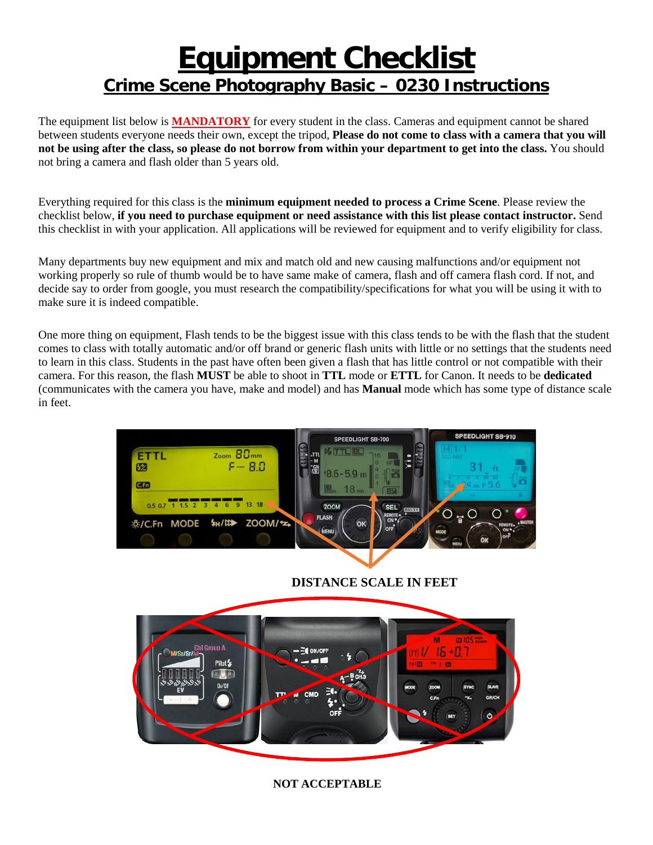## **Equipment Checklist Crime Scene Photography Basic – 0230 Instructions**

The equipment list below is **MANDATORY** for every student in the class. Cameras and equipment cannot be shared between students everyone needs their own, except the tripod, **Please do not come to class with a camera that you will not be using after the class, so please do not borrow from within your department to get into the class.** You should not bring a camera and flash older than 5 years old.

Everything required for this class is the **minimum equipment needed to process a Crime Scene**. Please review the checklist below, **if you need to purchase equipment or need assistance with this list please contact instructor.** Send this checklist in with your application. All applications will be reviewed for equipment and to verify eligibility for class.

Many departments buy new equipment and mix and match old and new causing malfunctions and/or equipment not working properly so rule of thumb would be to have same make of camera, flash and off camera flash cord. If not, and decide say to order from google, you must research the compatibility/specifications for what you will be using it with to make sure it is indeed compatible.

One more thing on equipment, Flash tends to be the biggest issue with this class tends to be with the flash that the student comes to class with totally automatic and/or off brand or generic flash units with little or no settings that the students need to learn in this class. Students in the past have often been given a flash that has little control or not compatible with their camera. For this reason, the flash **MUST** be able to shoot in **TTL** mode or **ETTL** for Canon. It needs to be **dedicated** (communicates with the camera you have, make and model) and has **Manual** mode which has some type of distance scale in feet.



 **DISTANCE SCALE IN FEET**



**NOT ACCEPTABLE**